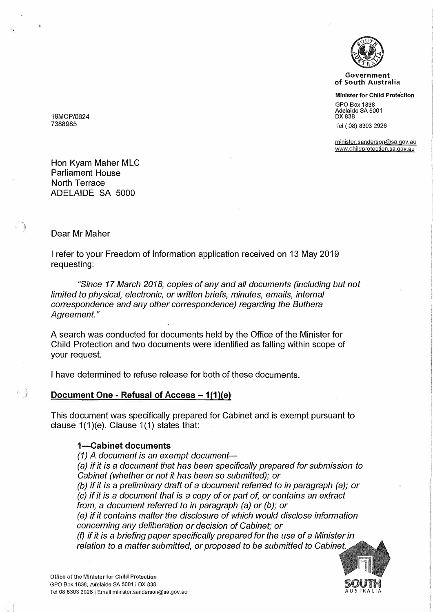

**Government of South Australia** 

**Minister for Child Protection** 

GPO Box 1838 Adelaide SA 5001 DX 838 Tel ( 08) 8303 2926

minister,sanderson@sa.qov.au www.childprotection.sa.gov.au

19MCP/0624 7388985

Hon Kyam Maher MLC Parliament House North Terrace ADELAIDE SA 5000

#### Dear Mr Maher

I refer to your Freedom of Information application received on 13 May 2019 requesting:

*"Since 17 March 2018, copies of any and all documents (including but not limited to physical, electronic, or written briefs, minutes, emails, internal correspondence and any other correspondence) regarding the Buthera Agreement."* 

A search was conducted for documents held by the Office of the Minister for Child Protection and two documents were identified as falling within scope of your request.

I have determined to refuse release for both of these documents.

### Document One - Refusal of Access - 1(1)(e)

This document was specifically prepared for Cabinet and is exempt pursuant to clause  $1(1)(e)$ . Clause  $1(1)$  states that:

### **1-Cabinet documents**

*(1) A document is an exempt document- (a) if it is* a *document that has been specifically prepared for submission to Cabinet (whether or not it has been so submitted); or (b) if it is* a *preliminary draft of* a *document referred to in paragraph (a); or (c) if it is* a *document that is* a *copy of or part of, or contains an extract from,* a *document referred to in paragraph (a) or (b); or (e) if it contains matter the disclosure of which would disclose information concerning any deliberation or decision of Cabinet; or (f) if it is* a *briefing paper specifically prepared for the use of* a *Minister in relation to* a *matter submitted, or proposed to be submitted to Cabinet.*